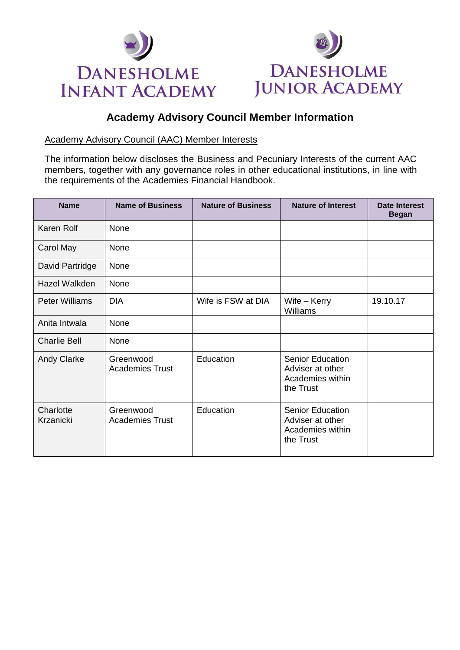



## **Academy Advisory Council Member Information**

## Academy Advisory Council (AAC) Member Interests

The information below discloses the Business and Pecuniary Interests of the current AAC members, together with any governance roles in other educational institutions, in line with the requirements of the Academies Financial Handbook.

| <b>Name</b>            | <b>Name of Business</b>             | <b>Nature of Business</b> | <b>Nature of Interest</b>                                                    | <b>Date Interest</b><br><b>Began</b> |
|------------------------|-------------------------------------|---------------------------|------------------------------------------------------------------------------|--------------------------------------|
| Karen Rolf             | None                                |                           |                                                                              |                                      |
| Carol May              | None                                |                           |                                                                              |                                      |
| David Partridge        | None                                |                           |                                                                              |                                      |
| Hazel Walkden          | None                                |                           |                                                                              |                                      |
| <b>Peter Williams</b>  | <b>DIA</b>                          | Wife is FSW at DIA        | Wife $-$ Kerry<br>Williams                                                   | 19.10.17                             |
| Anita Intwala          | <b>None</b>                         |                           |                                                                              |                                      |
| <b>Charlie Bell</b>    | None                                |                           |                                                                              |                                      |
| <b>Andy Clarke</b>     | Greenwood<br><b>Academies Trust</b> | Education                 | <b>Senior Education</b><br>Adviser at other<br>Academies within<br>the Trust |                                      |
| Charlotte<br>Krzanicki | Greenwood<br><b>Academies Trust</b> | Education                 | <b>Senior Education</b><br>Adviser at other<br>Academies within<br>the Trust |                                      |